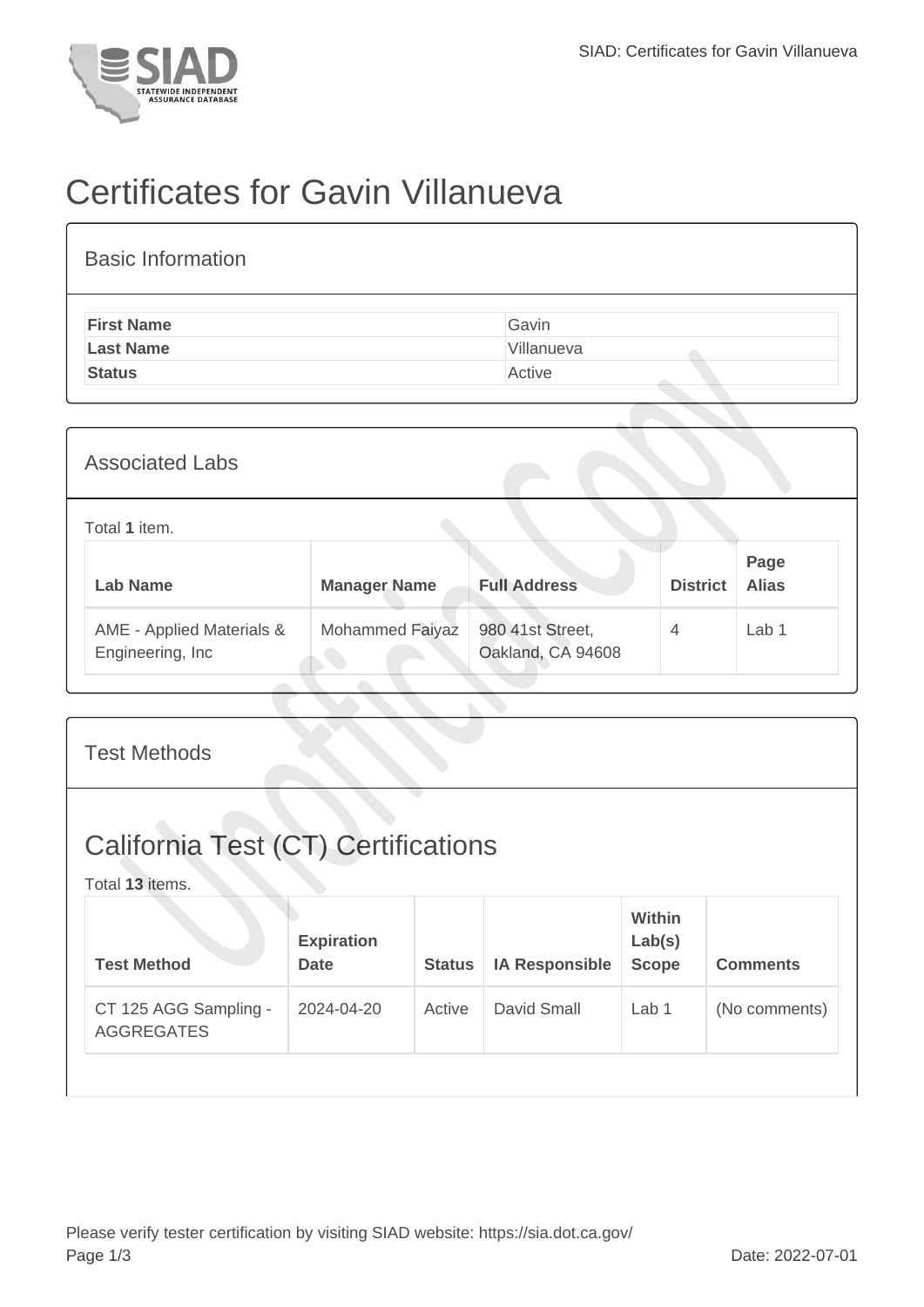

## Certificates for Gavin Villanueva

| <b>Basic Information</b> |            |
|--------------------------|------------|
| <b>First Name</b>        | Gavin      |
| <b>Last Name</b>         | Villanueva |
| <b>Status</b>            | Active     |
|                          |            |

| <b>Associated Labs</b>                         |                     |                                       |                 |                      |  |  |  |
|------------------------------------------------|---------------------|---------------------------------------|-----------------|----------------------|--|--|--|
| Total 1 item.                                  |                     |                                       |                 |                      |  |  |  |
| <b>Lab Name</b>                                | <b>Manager Name</b> | <b>Full Address</b>                   | <b>District</b> | Page<br><b>Alias</b> |  |  |  |
| AME - Applied Materials &<br>Engineering, Inc. | Mohammed Faiyaz     | 980 41st Street,<br>Oakland, CA 94608 | $\overline{4}$  | Lab <sub>1</sub>     |  |  |  |

| <b>Test Methods</b>                                           |                                  |               |                       |                                         |                 |  |  |
|---------------------------------------------------------------|----------------------------------|---------------|-----------------------|-----------------------------------------|-----------------|--|--|
| <b>California Test (CT) Certifications</b><br>Total 13 items. |                                  |               |                       |                                         |                 |  |  |
| <b>Test Method</b>                                            | <b>Expiration</b><br><b>Date</b> | <b>Status</b> | <b>IA Responsible</b> | <b>Within</b><br>Lab(s)<br><b>Scope</b> | <b>Comments</b> |  |  |
| CT 125 AGG Sampling -<br><b>AGGREGATES</b>                    | 2024-04-20                       | Active        | David Small           | Lab <sub>1</sub>                        | (No comments)   |  |  |
|                                                               |                                  |               |                       |                                         |                 |  |  |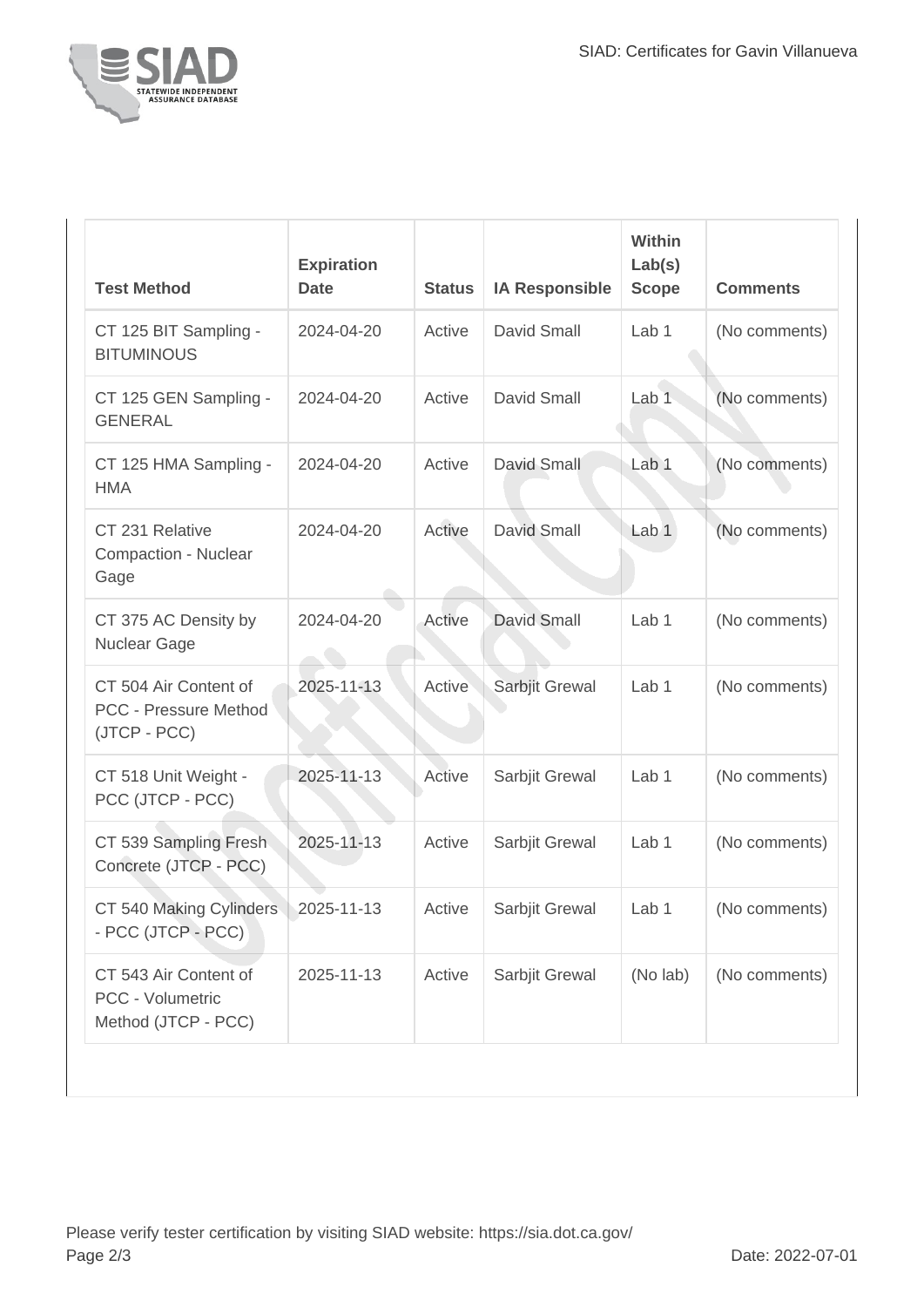

| <b>Test Method</b>                                                    | <b>Expiration</b><br><b>Date</b> | <b>Status</b> | <b>IA Responsible</b> | Within<br>Lab(s)<br><b>Scope</b> | <b>Comments</b> |
|-----------------------------------------------------------------------|----------------------------------|---------------|-----------------------|----------------------------------|-----------------|
| CT 125 BIT Sampling -<br><b>BITUMINOUS</b>                            | 2024-04-20                       | Active        | David Small           | Lab <sub>1</sub>                 | (No comments)   |
| CT 125 GEN Sampling -<br><b>GENERAL</b>                               | 2024-04-20                       | Active        | David Small           | Lab <sub>1</sub>                 | (No comments)   |
| CT 125 HMA Sampling -<br><b>HMA</b>                                   | 2024-04-20                       | Active        | David Small           | Lab <sub>1</sub>                 | (No comments)   |
| CT 231 Relative<br>Compaction - Nuclear<br>Gage                       | 2024-04-20                       | Active        | David Small           | Lab <sub>1</sub>                 | (No comments)   |
| CT 375 AC Density by<br>Nuclear Gage                                  | 2024-04-20                       | Active        | <b>David Small</b>    | Lab 1                            | (No comments)   |
| CT 504 Air Content of<br><b>PCC - Pressure Method</b><br>(JTCP - PCC) | 2025-11-13                       | Active        | Sarbjit Grewal        | Lab 1                            | (No comments)   |
| CT 518 Unit Weight -<br>PCC (JTCP - PCC)                              | 2025-11-13                       | Active        | Sarbjit Grewal        | Lab 1                            | (No comments)   |
| CT 539 Sampling Fresh<br>Concrete (JTCP - PCC)                        | 2025-11-13                       | Active        | Sarbjit Grewal        | Lab 1                            | (No comments)   |
| CT 540 Making Cylinders<br>- PCC (JTCP - PCC)                         | 2025-11-13                       | Active        | Sarbjit Grewal        | Lab 1                            | (No comments)   |
| CT 543 Air Content of<br>PCC - Volumetric<br>Method (JTCP - PCC)      | 2025-11-13                       | Active        | Sarbjit Grewal        | (No lab)                         | (No comments)   |